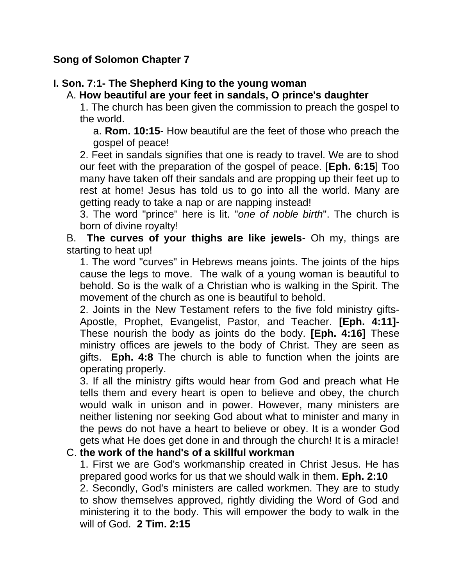## **Song of Solomon Chapter 7**

# **I. Son. 7:1- The Shepherd King to the young woman**

## A. **How beautiful are your feet in sandals, O prince's daughter**

1. The church has been given the commission to preach the gospel to the world.

a. **Rom. 10:15**- How beautiful are the feet of those who preach the gospel of peace!

2. Feet in sandals signifies that one is ready to travel. We are to shod our feet with the preparation of the gospel of peace. [**Eph. 6:15**] Too many have taken off their sandals and are propping up their feet up to rest at home! Jesus has told us to go into all the world. Many are getting ready to take a nap or are napping instead!

3. The word "prince" here is lit. "*one of noble birth*". The church is born of divine royalty!

B. **The curves of your thighs are like jewels**- Oh my, things are starting to heat up!

1. The word "curves" in Hebrews means joints. The joints of the hips cause the legs to move. The walk of a young woman is beautiful to behold. So is the walk of a Christian who is walking in the Spirit. The movement of the church as one is beautiful to behold.

2. Joints in the New Testament refers to the five fold ministry gifts-Apostle, Prophet, Evangelist, Pastor, and Teacher. **[Eph. 4:11]**- These nourish the body as joints do the body. **[Eph. 4:16]** These ministry offices are jewels to the body of Christ. They are seen as gifts. **Eph. 4:8** The church is able to function when the joints are operating properly.

3. If all the ministry gifts would hear from God and preach what He tells them and every heart is open to believe and obey, the church would walk in unison and in power. However, many ministers are neither listening nor seeking God about what to minister and many in the pews do not have a heart to believe or obey. It is a wonder God gets what He does get done in and through the church! It is a miracle!

### C. **the work of the hand's of a skillful workman**

1. First we are God's workmanship created in Christ Jesus. He has prepared good works for us that we should walk in them. **Eph. 2:10**

2. Secondly, God's ministers are called workmen. They are to study to show themselves approved, rightly dividing the Word of God and ministering it to the body. This will empower the body to walk in the will of God. **2 Tim. 2:15**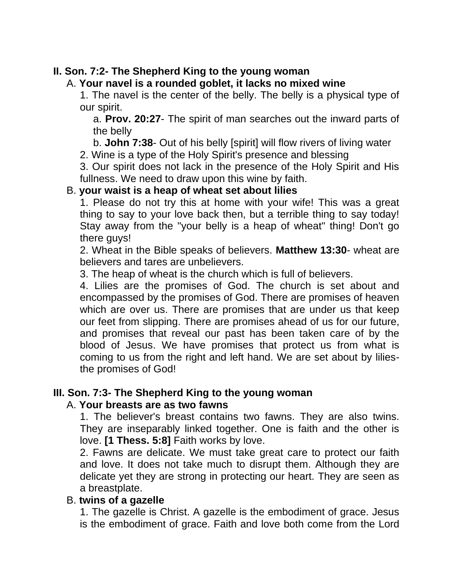## **II. Son. 7:2- The Shepherd King to the young woman**

A. **Your navel is a rounded goblet, it lacks no mixed wine**

1. The navel is the center of the belly. The belly is a physical type of our spirit.

a. **Prov. 20:27**- The spirit of man searches out the inward parts of the belly

b. **John 7:38**- Out of his belly [spirit] will flow rivers of living water

2. Wine is a type of the Holy Spirit's presence and blessing

3. Our spirit does not lack in the presence of the Holy Spirit and His fullness. We need to draw upon this wine by faith.

## B. **your waist is a heap of wheat set about lilies**

1. Please do not try this at home with your wife! This was a great thing to say to your love back then, but a terrible thing to say today! Stay away from the "your belly is a heap of wheat" thing! Don't go there guys!

2. Wheat in the Bible speaks of believers. **Matthew 13:30**- wheat are believers and tares are unbelievers.

3. The heap of wheat is the church which is full of believers.

4. Lilies are the promises of God. The church is set about and encompassed by the promises of God. There are promises of heaven which are over us. There are promises that are under us that keep our feet from slipping. There are promises ahead of us for our future, and promises that reveal our past has been taken care of by the blood of Jesus. We have promises that protect us from what is coming to us from the right and left hand. We are set about by liliesthe promises of God!

## **III. Son. 7:3- The Shepherd King to the young woman**

### A. **Your breasts are as two fawns**

1. The believer's breast contains two fawns. They are also twins. They are inseparably linked together. One is faith and the other is love. **[1 Thess. 5:8]** Faith works by love.

2. Fawns are delicate. We must take great care to protect our faith and love. It does not take much to disrupt them. Although they are delicate yet they are strong in protecting our heart. They are seen as a breastplate.

### B. **twins of a gazelle**

1. The gazelle is Christ. A gazelle is the embodiment of grace. Jesus is the embodiment of grace. Faith and love both come from the Lord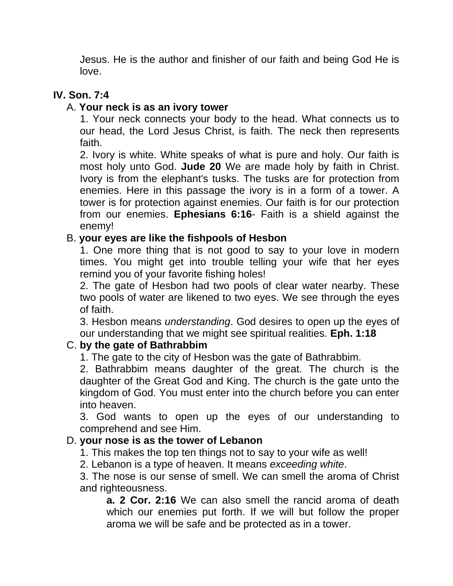Jesus. He is the author and finisher of our faith and being God He is love.

# **IV. Son. 7:4**

## A. **Your neck is as an ivory tower**

1. Your neck connects your body to the head. What connects us to our head, the Lord Jesus Christ, is faith. The neck then represents faith.

2. Ivory is white. White speaks of what is pure and holy. Our faith is most holy unto God. **Jude 20** We are made holy by faith in Christ. Ivory is from the elephant's tusks. The tusks are for protection from enemies. Here in this passage the ivory is in a form of a tower. A tower is for protection against enemies. Our faith is for our protection from our enemies. **Ephesians 6:16**- Faith is a shield against the enemy!

## B. **your eyes are like the fishpools of Hesbon**

1. One more thing that is not good to say to your love in modern times. You might get into trouble telling your wife that her eyes remind you of your favorite fishing holes!

2. The gate of Hesbon had two pools of clear water nearby. These two pools of water are likened to two eyes. We see through the eyes of faith.

3. Hesbon means *understanding*. God desires to open up the eyes of our understanding that we might see spiritual realities. **Eph. 1:18**

## C. **by the gate of Bathrabbim**

1. The gate to the city of Hesbon was the gate of Bathrabbim.

2. Bathrabbim means daughter of the great. The church is the daughter of the Great God and King. The church is the gate unto the kingdom of God. You must enter into the church before you can enter into heaven.

3. God wants to open up the eyes of our understanding to comprehend and see Him.

### D. **your nose is as the tower of Lebanon**

1. This makes the top ten things not to say to your wife as well!

2. Lebanon is a type of heaven. It means *exceeding white*.

3. The nose is our sense of smell. We can smell the aroma of Christ and righteousness.

**a. 2 Cor. 2:16** We can also smell the rancid aroma of death which our enemies put forth. If we will but follow the proper aroma we will be safe and be protected as in a tower.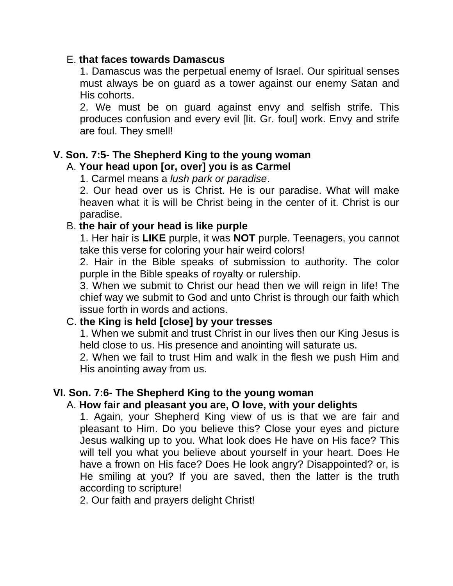#### E. **that faces towards Damascus**

1. Damascus was the perpetual enemy of Israel. Our spiritual senses must always be on guard as a tower against our enemy Satan and His cohorts.

2. We must be on guard against envy and selfish strife. This produces confusion and every evil [lit. Gr. foul] work. Envy and strife are foul. They smell!

### **V. Son. 7:5- The Shepherd King to the young woman**

## A. **Your head upon [or, over] you is as Carmel**

1. Carmel means a *lush park or paradise*.

2. Our head over us is Christ. He is our paradise. What will make heaven what it is will be Christ being in the center of it. Christ is our paradise.

### B. **the hair of your head is like purple**

1. Her hair is **LIKE** purple, it was **NOT** purple. Teenagers, you cannot take this verse for coloring your hair weird colors!

2. Hair in the Bible speaks of submission to authority. The color purple in the Bible speaks of royalty or rulership.

3. When we submit to Christ our head then we will reign in life! The chief way we submit to God and unto Christ is through our faith which issue forth in words and actions.

### C. **the King is held [close] by your tresses**

1. When we submit and trust Christ in our lives then our King Jesus is held close to us. His presence and anointing will saturate us.

2. When we fail to trust Him and walk in the flesh we push Him and His anointing away from us.

### **VI. Son. 7:6- The Shepherd King to the young woman**

### A. **How fair and pleasant you are, O love, with your delights**

1. Again, your Shepherd King view of us is that we are fair and pleasant to Him. Do you believe this? Close your eyes and picture Jesus walking up to you. What look does He have on His face? This will tell you what you believe about yourself in your heart. Does He have a frown on His face? Does He look angry? Disappointed? or, is He smiling at you? If you are saved, then the latter is the truth according to scripture!

2. Our faith and prayers delight Christ!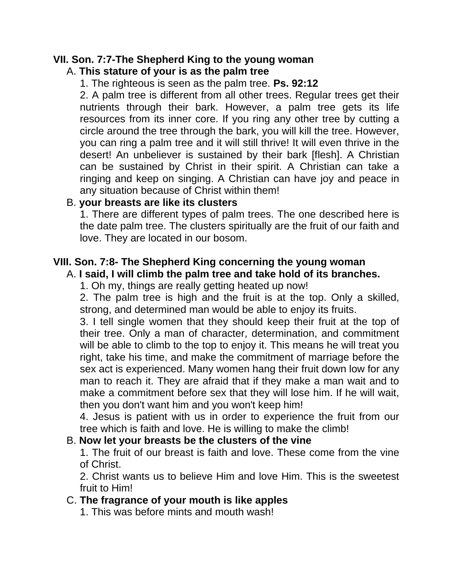# **VII. Son. 7:7-The Shepherd King to the young woman**

## A. **This stature of your is as the palm tree**

1. The righteous is seen as the palm tree. **Ps. 92:12**

2. A palm tree is different from all other trees. Regular trees get their nutrients through their bark. However, a palm tree gets its life resources from its inner core. If you ring any other tree by cutting a circle around the tree through the bark, you will kill the tree. However, you can ring a palm tree and it will still thrive! It will even thrive in the desert! An unbeliever is sustained by their bark [flesh]. A Christian can be sustained by Christ in their spirit. A Christian can take a ringing and keep on singing. A Christian can have joy and peace in any situation because of Christ within them!

### B. **your breasts are like its clusters**

1. There are different types of palm trees. The one described here is the date palm tree. The clusters spiritually are the fruit of our faith and love. They are located in our bosom.

# **VIII. Son. 7:8- The Shepherd King concerning the young woman**

## A. **I said, I will climb the palm tree and take hold of its branches.**

1. Oh my, things are really getting heated up now!

2. The palm tree is high and the fruit is at the top. Only a skilled, strong, and determined man would be able to enjoy its fruits.

3. I tell single women that they should keep their fruit at the top of their tree. Only a man of character, determination, and commitment will be able to climb to the top to enjoy it. This means he will treat you right, take his time, and make the commitment of marriage before the sex act is experienced. Many women hang their fruit down low for any man to reach it. They are afraid that if they make a man wait and to make a commitment before sex that they will lose him. If he will wait, then you don't want him and you won't keep him!

4. Jesus is patient with us in order to experience the fruit from our tree which is faith and love. He is willing to make the climb!

### B. **Now let your breasts be the clusters of the vine**

1. The fruit of our breast is faith and love. These come from the vine of Christ.

2. Christ wants us to believe Him and love Him. This is the sweetest fruit to Him!

## C. **The fragrance of your mouth is like apples**

1. This was before mints and mouth wash!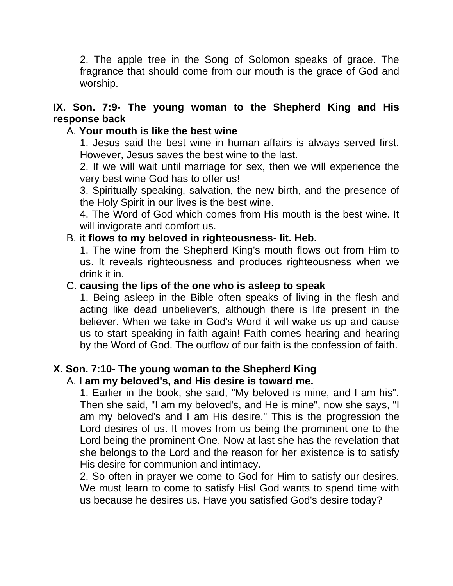2. The apple tree in the Song of Solomon speaks of grace. The fragrance that should come from our mouth is the grace of God and worship.

## **IX. Son. 7:9- The young woman to the Shepherd King and His response back**

## A. **Your mouth is like the best wine**

1. Jesus said the best wine in human affairs is always served first. However, Jesus saves the best wine to the last.

2. If we will wait until marriage for sex, then we will experience the very best wine God has to offer us!

3. Spiritually speaking, salvation, the new birth, and the presence of the Holy Spirit in our lives is the best wine.

4. The Word of God which comes from His mouth is the best wine. It will invigorate and comfort us.

### B. **it flows to my beloved in righteousness**- **lit. Heb.**

1. The wine from the Shepherd King's mouth flows out from Him to us. It reveals righteousness and produces righteousness when we drink it in.

### C. **causing the lips of the one who is asleep to speak**

1. Being asleep in the Bible often speaks of living in the flesh and acting like dead unbeliever's, although there is life present in the believer. When we take in God's Word it will wake us up and cause us to start speaking in faith again! Faith comes hearing and hearing by the Word of God. The outflow of our faith is the confession of faith.

## **X. Son. 7:10- The young woman to the Shepherd King**

### A. **I am my beloved's, and His desire is toward me.**

1. Earlier in the book, she said, "My beloved is mine, and I am his". Then she said, "I am my beloved's, and He is mine", now she says, "I am my beloved's and I am His desire." This is the progression the Lord desires of us. It moves from us being the prominent one to the Lord being the prominent One. Now at last she has the revelation that she belongs to the Lord and the reason for her existence is to satisfy His desire for communion and intimacy.

2. So often in prayer we come to God for Him to satisfy our desires. We must learn to come to satisfy His! God wants to spend time with us because he desires us. Have you satisfied God's desire today?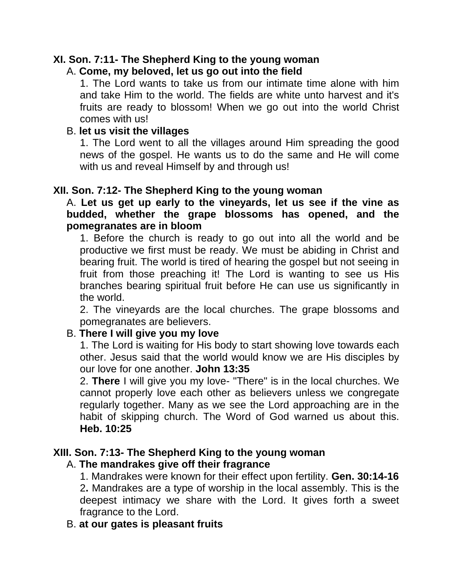### **XI. Son. 7:11- The Shepherd King to the young woman**

#### A. **Come, my beloved, let us go out into the field**

1. The Lord wants to take us from our intimate time alone with him and take Him to the world. The fields are white unto harvest and it's fruits are ready to blossom! When we go out into the world Christ comes with us!

#### B. **let us visit the villages**

1. The Lord went to all the villages around Him spreading the good news of the gospel. He wants us to do the same and He will come with us and reveal Himself by and through us!

#### **XII. Son. 7:12- The Shepherd King to the young woman**

A. **Let us get up early to the vineyards, let us see if the vine as budded, whether the grape blossoms has opened, and the pomegranates are in bloom**

1. Before the church is ready to go out into all the world and be productive we first must be ready. We must be abiding in Christ and bearing fruit. The world is tired of hearing the gospel but not seeing in fruit from those preaching it! The Lord is wanting to see us His branches bearing spiritual fruit before He can use us significantly in the world.

2. The vineyards are the local churches. The grape blossoms and pomegranates are believers.

### B. **There I will give you my love**

1. The Lord is waiting for His body to start showing love towards each other. Jesus said that the world would know we are His disciples by our love for one another. **John 13:35**

2. **There** I will give you my love- "There" is in the local churches. We cannot properly love each other as believers unless we congregate regularly together. Many as we see the Lord approaching are in the habit of skipping church. The Word of God warned us about this. **Heb. 10:25**

### **XIII. Son. 7:13- The Shepherd King to the young woman**

#### A. **The mandrakes give off their fragrance**

1. Mandrakes were known for their effect upon fertility. **Gen. 30:14-16** 2**.** Mandrakes are a type of worship in the local assembly. This is the deepest intimacy we share with the Lord. It gives forth a sweet fragrance to the Lord.

#### B. **at our gates is pleasant fruits**